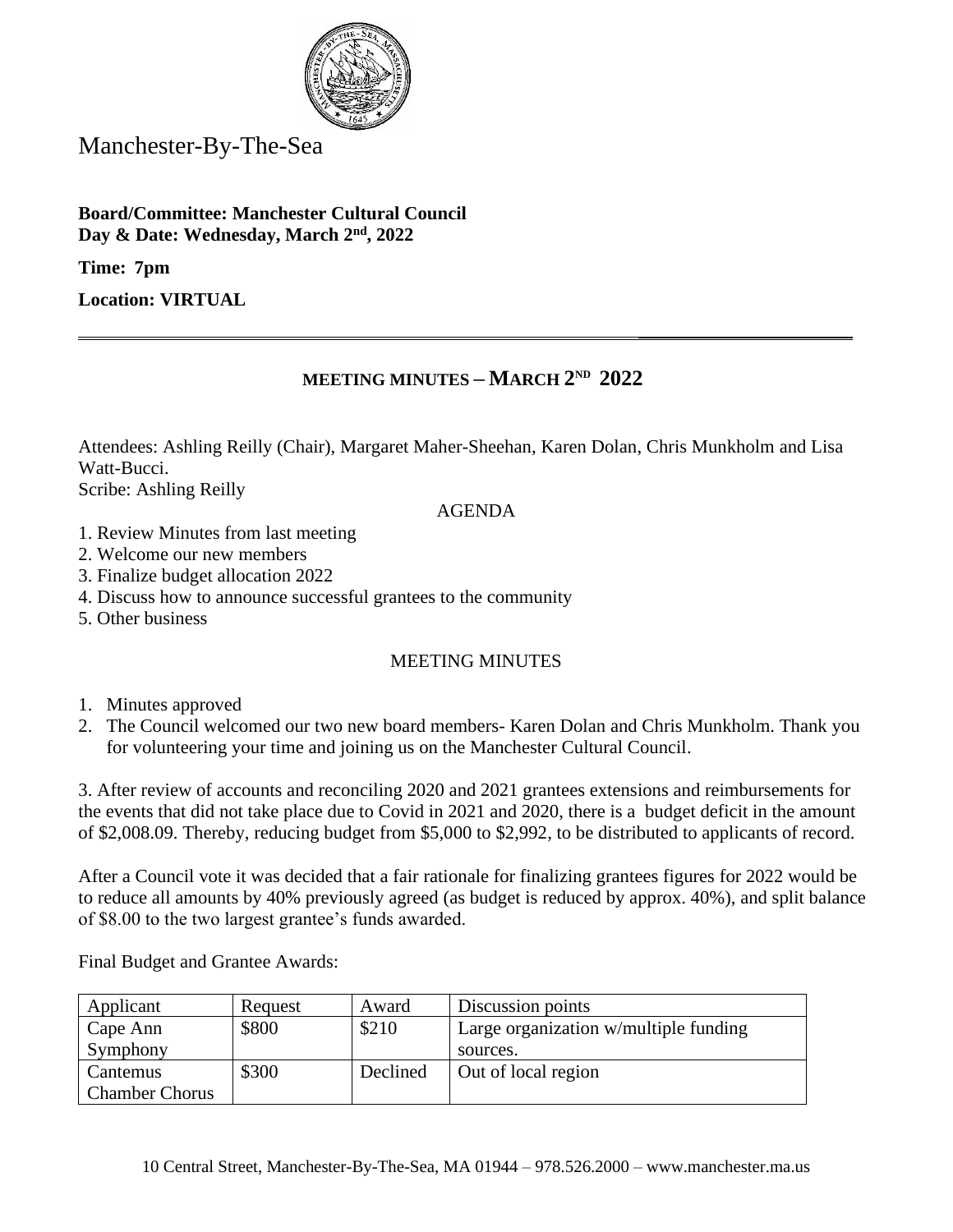

Manchester-By-The-Sea

**Board/Committee: Manchester Cultural Council Day & Date: Wednesday, March 2nd, 2022**

**Time: 7pm** 

**Location: VIRTUAL**

## **MEETING MINUTES – MARCH 2 ND 2022**

**\_\_\_\_\_\_\_\_\_\_\_\_\_\_\_\_\_\_\_\_\_\_\_\_\_**

Attendees: Ashling Reilly (Chair), Margaret Maher-Sheehan, Karen Dolan, Chris Munkholm and Lisa Watt-Bucci.

Scribe: Ashling Reilly

## AGENDA

- 1. Review Minutes from last meeting
- 2. Welcome our new members
- 3. Finalize budget allocation 2022
- 4. Discuss how to announce successful grantees to the community
- 5. Other business

## MEETING MINUTES

- 1. Minutes approved
- 2. The Council welcomed our two new board members- Karen Dolan and Chris Munkholm. Thank you for volunteering your time and joining us on the Manchester Cultural Council.

3. After review of accounts and reconciling 2020 and 2021 grantees extensions and reimbursements for the events that did not take place due to Covid in 2021 and 2020, there is a budget deficit in the amount of \$2,008.09. Thereby, reducing budget from \$5,000 to \$2,992, to be distributed to applicants of record.

After a Council vote it was decided that a fair rationale for finalizing grantees figures for 2022 would be to reduce all amounts by 40% previously agreed (as budget is reduced by approx. 40%), and split balance of \$8.00 to the two largest grantee's funds awarded.

Final Budget and Grantee Awards:

| Applicant             | Request | Award    | Discussion points                     |
|-----------------------|---------|----------|---------------------------------------|
| Cape Ann              | \$800   | \$210    | Large organization w/multiple funding |
| Symphony              |         |          | sources.                              |
| Cantemus              | \$300   | Declined | Out of local region                   |
| <b>Chamber Chorus</b> |         |          |                                       |